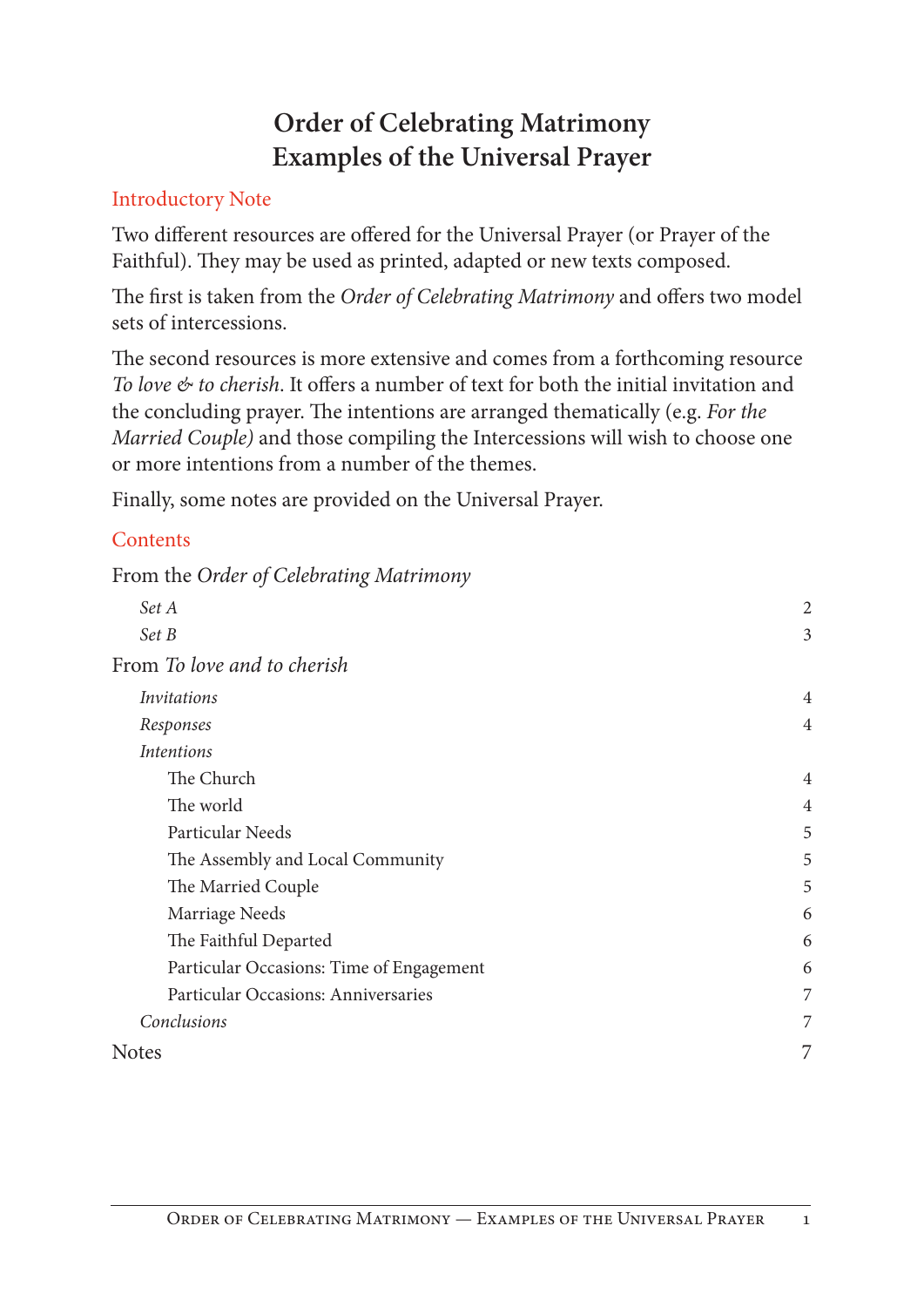# **Order of Celebrating Matrimony Examples of the Universal Prayer**

# Introductory Note

Two different resources are offered for the Universal Prayer (or Prayer of the Faithful). They may be used as printed, adapted or new texts composed.

The first is taken from the *Order of Celebrating Matrimony* and offers two model sets of intercessions.

The second resources is more extensive and comes from a forthcoming resource *To love & to cherish*. It offers a number of text for both the initial invitation and the concluding prayer. The intentions are arranged thematically (e.g. *For the Married Couple)* and those compiling the Intercessions will wish to choose one or more intentions from a number of the themes.

Finally, some notes are provided on the Universal Prayer.

# **Contents**

From the *Order of Celebrating Matrimony*

| Set A                                    | $\overline{2}$ |
|------------------------------------------|----------------|
| Set B                                    | 3              |
| From To love and to cherish              |                |
| <i>Invitations</i>                       | $\overline{4}$ |
| Responses                                | $\overline{4}$ |
| <b>Intentions</b>                        |                |
| The Church                               | $\overline{4}$ |
| The world                                | 4              |
| Particular Needs                         | 5              |
| The Assembly and Local Community         | 5              |
| The Married Couple                       | 5              |
| Marriage Needs                           | 6              |
| The Faithful Departed                    | 6              |
| Particular Occasions: Time of Engagement | 6              |
| Particular Occasions: Anniversaries      | 7              |
| Conclusions                              | 7              |
| Notes                                    | 7              |
|                                          |                |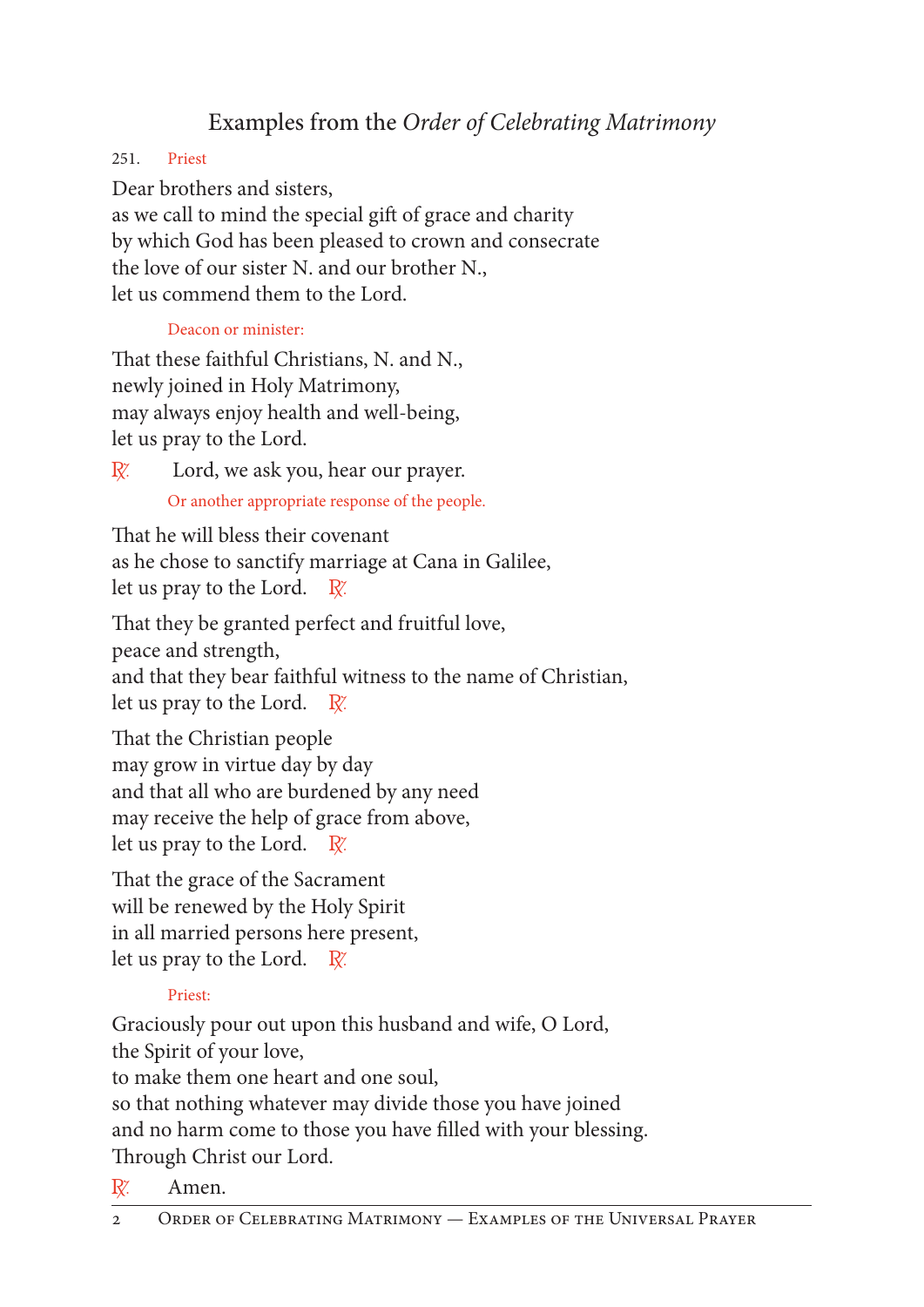# Examples from the *Order of Celebrating Matrimony*

251. Priest

Dear brothers and sisters, as we call to mind the special gift of grace and charity by which God has been pleased to crown and consecrate the love of our sister N. and our brother N., let us commend them to the Lord.

# Deacon or minister:

That these faithful Christians, N. and N., newly joined in Holy Matrimony, may always enjoy health and well-being, let us pray to the Lord.

 $\mathbb{R}$  Lord, we ask you, hear our prayer. Or another appropriate response of the people.

That he will bless their covenant as he chose to sanctify marriage at Cana in Galilee, let us pray to the Lord.  $\mathbb{R}^2$ .

That they be granted perfect and fruitful love, peace and strength, and that they bear faithful witness to the name of Christian, let us pray to the Lord.  $\mathbb{R}^n$ .

That the Christian people may grow in virtue day by day and that all who are burdened by any need may receive the help of grace from above, let us pray to the Lord.  $\mathbb{R}^n$ .

That the grace of the Sacrament will be renewed by the Holy Spirit in all married persons here present, let us pray to the Lord.  $\mathbb{R}^n$ .

# Priest:

Graciously pour out upon this husband and wife, O Lord, the Spirit of your love,

to make them one heart and one soul,

so that nothing whatever may divide those you have joined and no harm come to those you have filled with your blessing. Through Christ our Lord.

 $\mathbb{R}^n$  Amen.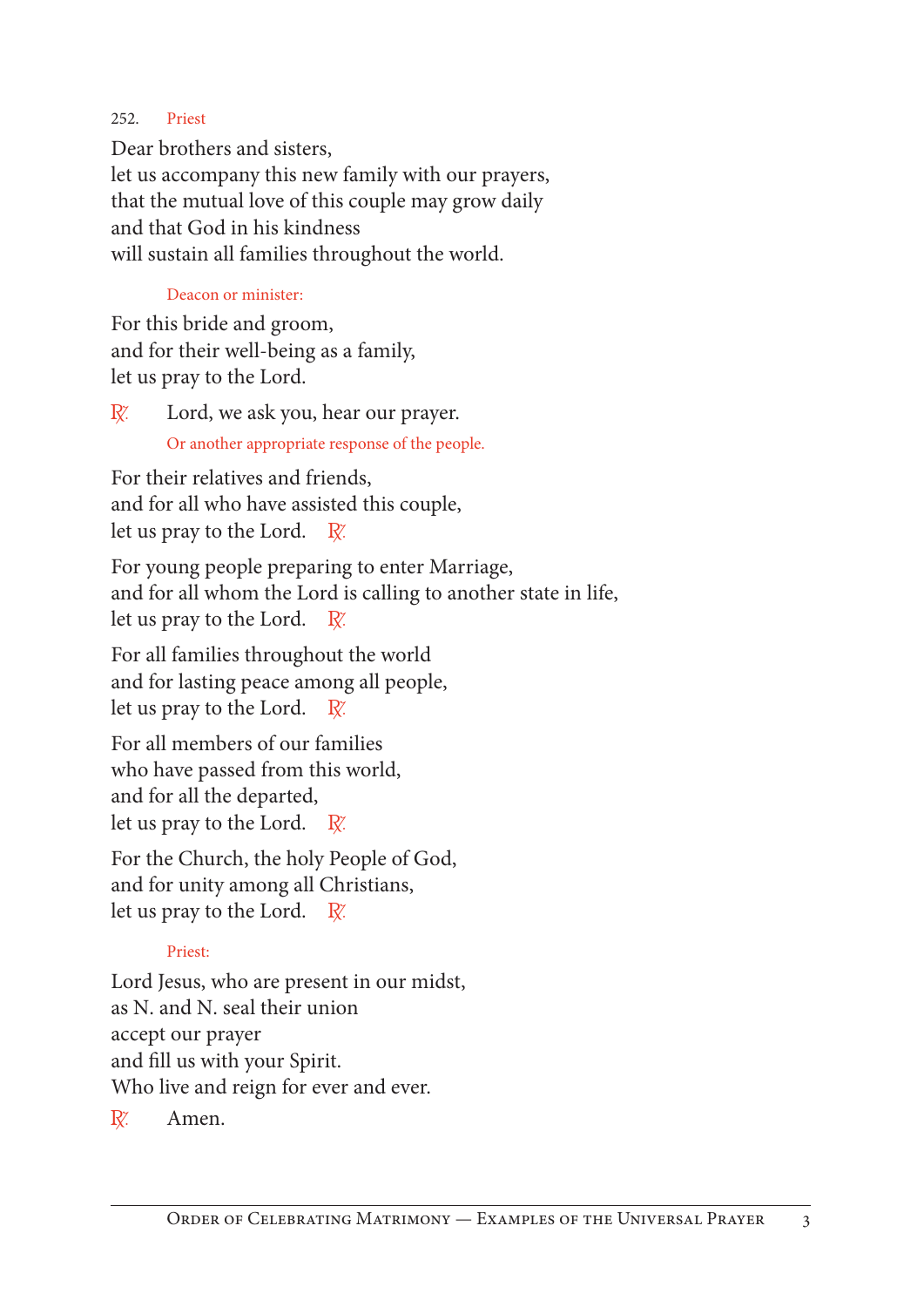#### 252. Priest

Dear brothers and sisters, let us accompany this new family with our prayers, that the mutual love of this couple may grow daily and that God in his kindness will sustain all families throughout the world.

#### Deacon or minister:

For this bride and groom, and for their well-being as a family, let us pray to the Lord.

 $\mathbb{R}$ . Lord, we ask you, hear our prayer. Or another appropriate response of the people.

For their relatives and friends, and for all who have assisted this couple, let us pray to the Lord.  $\mathbb{R}^{\prime}$ .

For young people preparing to enter Marriage, and for all whom the Lord is calling to another state in life, let us pray to the Lord.  $\mathbb{R}^n$ .

For all families throughout the world and for lasting peace among all people, let us pray to the Lord.  $\mathbb{R}^n$ .

For all members of our families who have passed from this world, and for all the departed, let us pray to the Lord.  $\mathbb{R}^n$ .

For the Church, the holy People of God, and for unity among all Christians, let us pray to the Lord.  $\mathbb{R}^n$ .

#### Priest:

Lord Jesus, who are present in our midst, as N. and N. seal their union accept our prayer and fill us with your Spirit. Who live and reign for ever and ever.

 $\mathbb{R}^{\mathbb{Z}}$  Amen.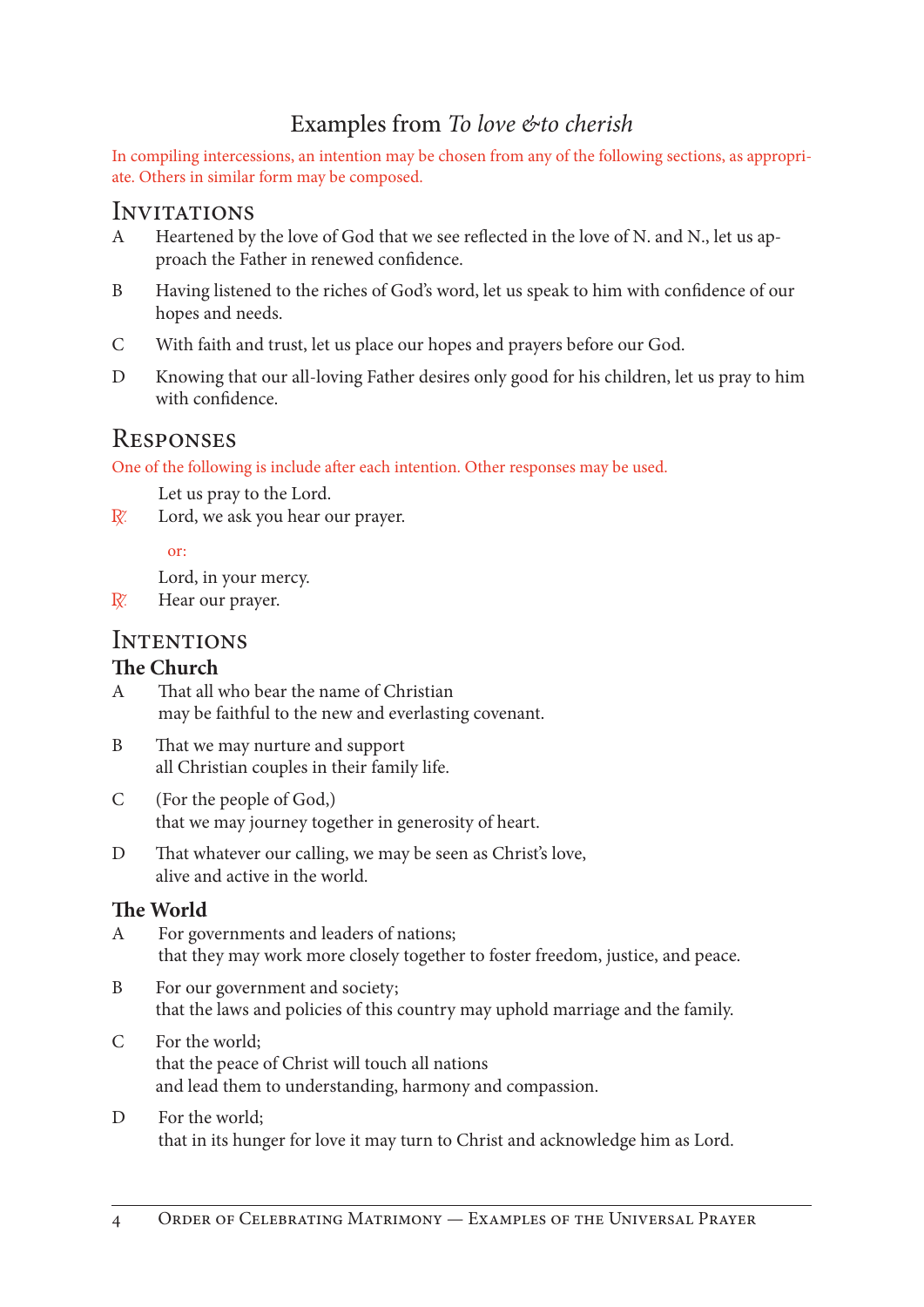# Examples from *To love &to cherish*

In compiling intercessions, an intention may be chosen from any of the following sections, as appropriate. Others in similar form may be composed.

#### **INVITATIONS**

- A Heartened by the love of God that we see reflected in the love of N. and N., let us approach the Father in renewed confidence.
- B Having listened to the riches of God's word, let us speak to him with confidence of our hopes and needs.
- C With faith and trust, let us place our hopes and prayers before our God.
- D Knowing that our all-loving Father desires only good for his children, let us pray to him with confidence.

# Responses

One of the following is include after each intention. Other responses may be used.

Let us pray to the Lord.

R. Lord, we ask you hear our prayer.

#### or:

Lord, in your mercy.

 $\mathbb{R}^n$  Hear our prayer.

## **INTENTIONS**

#### **The Church**

- A That all who bear the name of Christian may be faithful to the new and everlasting covenant.
- B That we may nurture and support all Christian couples in their family life.
- C (For the people of God,) that we may journey together in generosity of heart.
- D That whatever our calling, we may be seen as Christ's love, alive and active in the world.

#### **The World**

- A For governments and leaders of nations; that they may work more closely together to foster freedom, justice, and peace.
- B For our government and society; that the laws and policies of this country may uphold marriage and the family.
- C For the world; that the peace of Christ will touch all nations and lead them to understanding, harmony and compassion.

#### D For the world; that in its hunger for love it may turn to Christ and acknowledge him as Lord.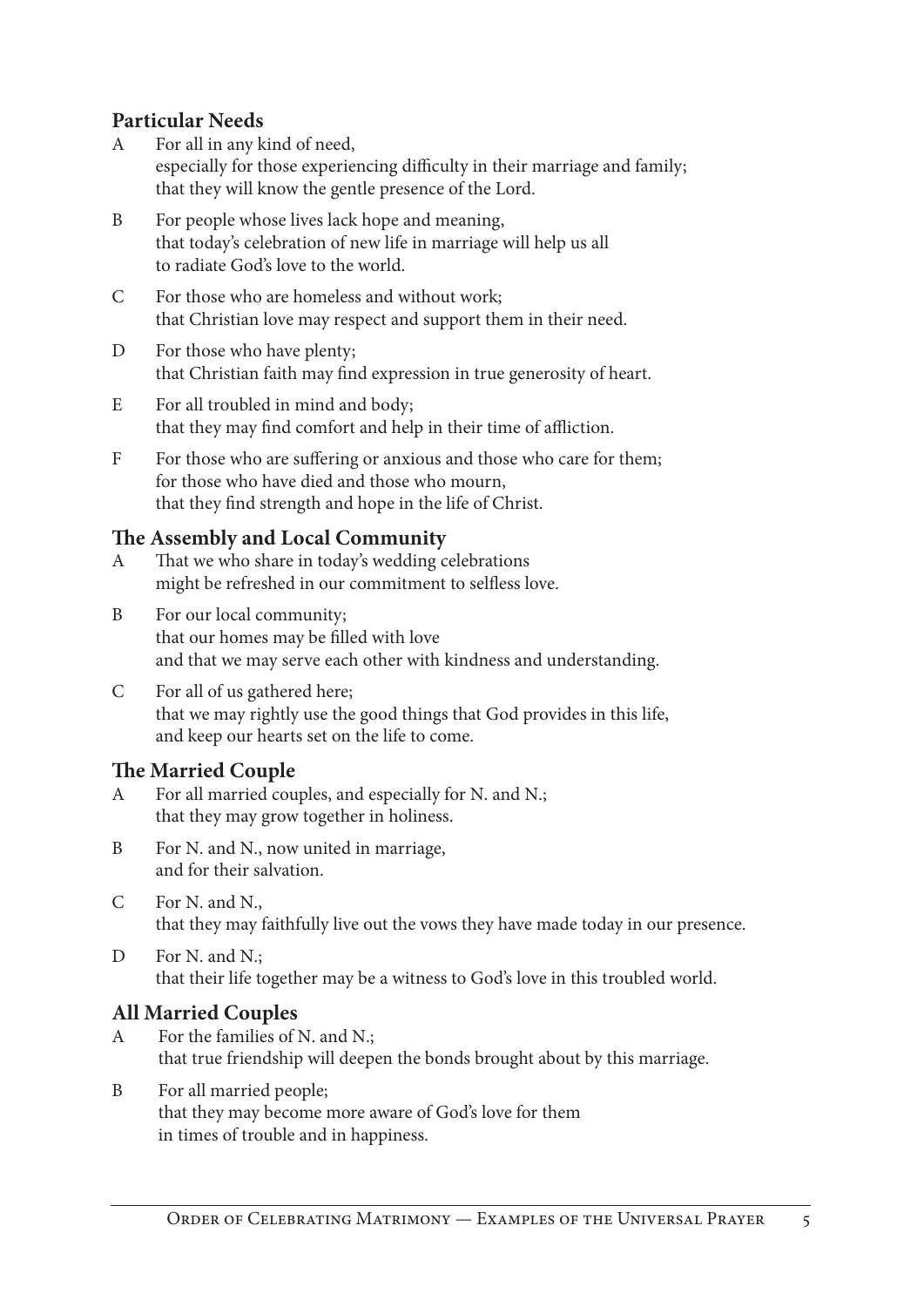# **Particular Needs**

- A For all in any kind of need, especially for those experiencing difficulty in their marriage and family; that they will know the gentle presence of the Lord.
- B For people whose lives lack hope and meaning, that today's celebration of new life in marriage will help us all to radiate God's love to the world.
- C For those who are homeless and without work; that Christian love may respect and support them in their need.
- D For those who have plenty; that Christian faith may find expression in true generosity of heart.
- E For all troubled in mind and body; that they may find comfort and help in their time of affliction.
- F For those who are suffering or anxious and those who care for them; for those who have died and those who mourn, that they find strength and hope in the life of Christ.

# **The Assembly and Local Community**

- A That we who share in today's wedding celebrations might be refreshed in our commitment to selfless love.
- B For our local community; that our homes may be filled with love and that we may serve each other with kindness and understanding.
- C For all of us gathered here; that we may rightly use the good things that God provides in this life, and keep our hearts set on the life to come.

# **The Married Couple**

- A For all married couples, and especially for N. and N.; that they may grow together in holiness.
- B For N. and N., now united in marriage, and for their salvation.
- C For N. and N., that they may faithfully live out the vows they have made today in our presence.
- D For N. and N.; that their life together may be a witness to God's love in this troubled world.

# **All Married Couples**

- A For the families of N. and N.; that true friendship will deepen the bonds brought about by this marriage.
- B For all married people; that they may become more aware of God's love for them in times of trouble and in happiness.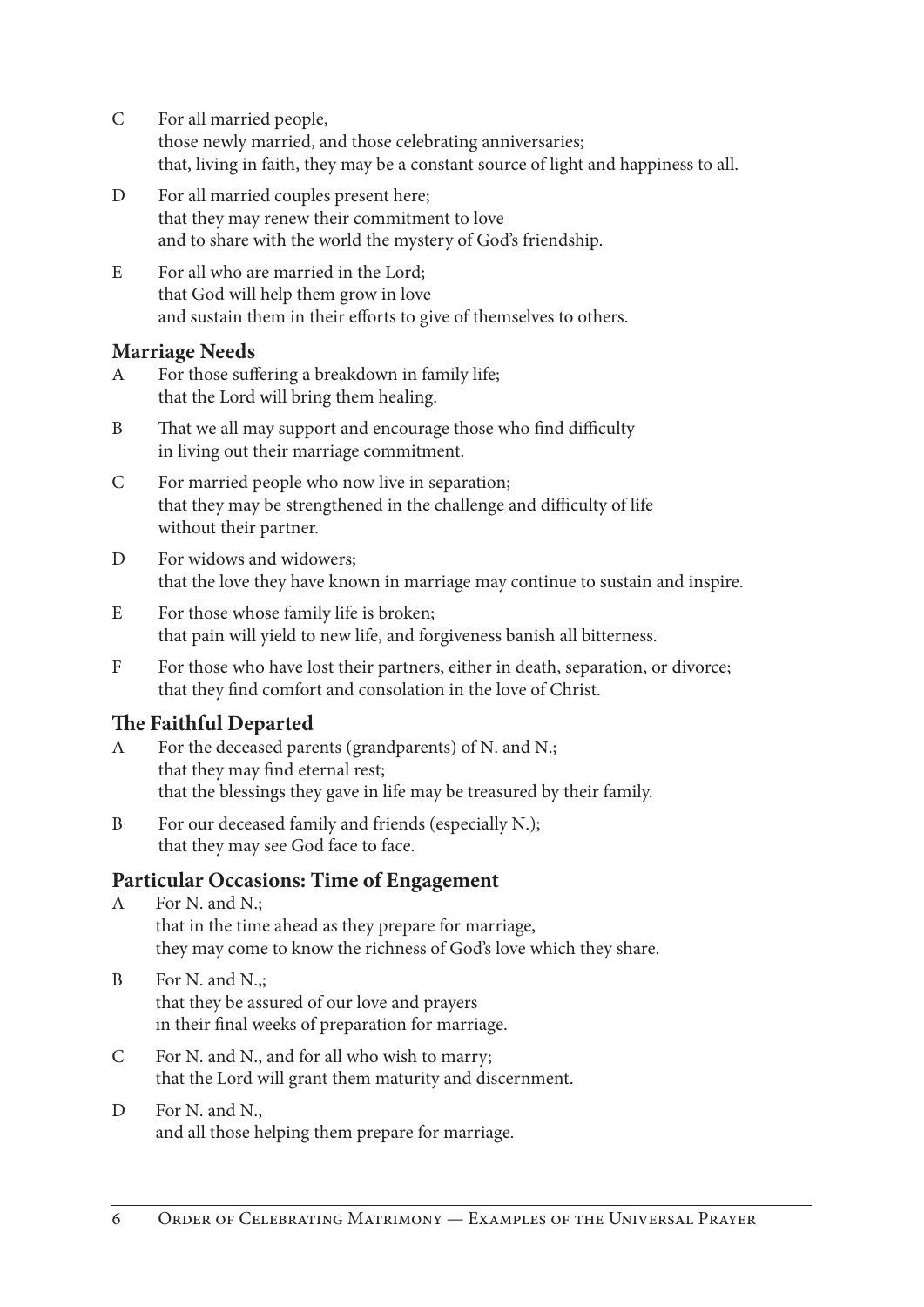- C For all married people, those newly married, and those celebrating anniversaries; that, living in faith, they may be a constant source of light and happiness to all.
- D For all married couples present here; that they may renew their commitment to love and to share with the world the mystery of God's friendship.
- E For all who are married in the Lord; that God will help them grow in love and sustain them in their efforts to give of themselves to others.

### **Marriage Needs**

- A For those suffering a breakdown in family life; that the Lord will bring them healing.
- B That we all may support and encourage those who find difficulty in living out their marriage commitment.
- C For married people who now live in separation; that they may be strengthened in the challenge and difficulty of life without their partner.
- D For widows and widowers: that the love they have known in marriage may continue to sustain and inspire.
- E For those whose family life is broken; that pain will yield to new life, and forgiveness banish all bitterness.
- F For those who have lost their partners, either in death, separation, or divorce; that they find comfort and consolation in the love of Christ.

# **The Faithful Departed**

- A For the deceased parents (grandparents) of N. and N.; that they may find eternal rest; that the blessings they gave in life may be treasured by their family.
- B For our deceased family and friends (especially N.); that they may see God face to face.

# **Particular Occasions: Time of Engagement**

- A For N. and N.; that in the time ahead as they prepare for marriage, they may come to know the richness of God's love which they share.
- B For N. and N., that they be assured of our love and prayers in their final weeks of preparation for marriage.
- C For N. and N., and for all who wish to marry; that the Lord will grant them maturity and discernment.
- D For N. and N., and all those helping them prepare for marriage.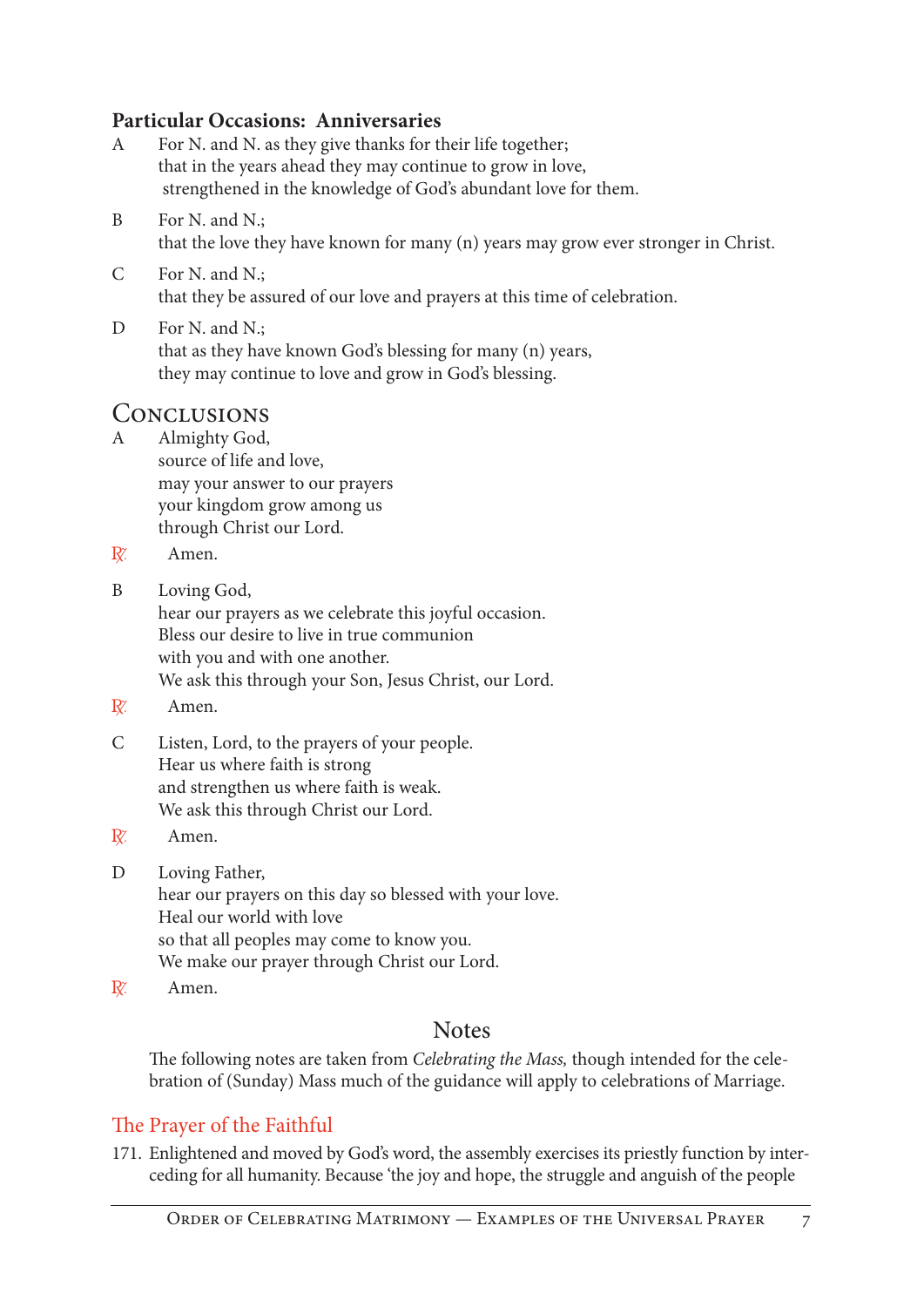#### **Particular Occasions: Anniversaries**

- A For N. and N. as they give thanks for their life together; that in the years ahead they may continue to grow in love, strengthened in the knowledge of God's abundant love for them.
- B For N. and N.; that the love they have known for many (n) years may grow ever stronger in Christ.
- C For N. and N.; that they be assured of our love and prayers at this time of celebration.
- D For N. and N.; that as they have known God's blessing for many (n) years, they may continue to love and grow in God's blessing.

# CONCLUSIONS<br>A Almighty God.

- Almighty God,
	- source of life and love, may your answer to our prayers your kingdom grow among us through Christ our Lord.
- $\mathbb{R}^n$  Amen.
- B Loving God,

hear our prayers as we celebrate this joyful occasion. Bless our desire to live in true communion with you and with one another. We ask this through your Son, Jesus Christ, our Lord.

- R. Amen.
- C Listen, Lord, to the prayers of your people. Hear us where faith is strong and strengthen us where faith is weak. We ask this through Christ our Lord.
- R. Amen.
- D Loving Father, hear our prayers on this day so blessed with your love. Heal our world with love so that all peoples may come to know you. We make our prayer through Christ our Lord.
- $\mathbb{R}$ <sup>'</sup> Amen.

# **Notes**

The following notes are taken from *Celebrating the Mass,* though intended for the celebration of (Sunday) Mass much of the guidance will apply to celebrations of Marriage.

#### The Prayer of the Faithful

171. Enlightened and moved by God's word, the assembly exercises its priestly function by interceding for all humanity. Because 'the joy and hope, the struggle and anguish of the people